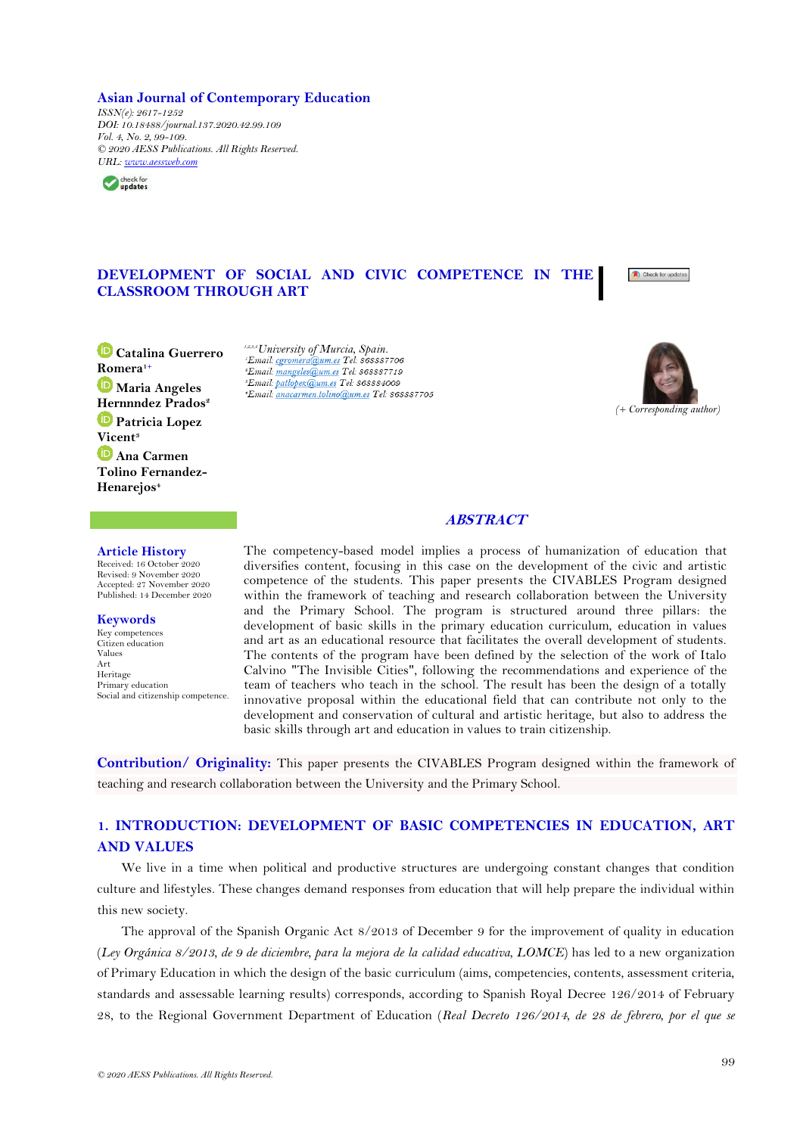# **Asian Journal of Contemporary Education**

*ISSN(e): 2617-1252 DOI: 10.18488/journal.137.2020.42.99.109 Vol. 4, No. 2, 99-109. © 2020 AESS Publications. All Rights Reserved. URL: [www.aessweb.com](http://www.aessweb.com/)*



# **DEVELOPMENT OF SOCIAL AND CIVIC COMPETENCE IN THE CLASSROOM THROUGH ART**



**Catalina Guerrero [Rom](https://orcid.org/0000-0002-3617-215X)era1+ Maria Angeles Hernnndez Prados<sup>2</sup> Patricia Lopez [Vic](https://orcid.org/0000-0003-0256-4689)ent<sup>3</sup> D** Ana Carmen **Tolino Fernandez-Henarejos<sup>4</sup>**

*1,2,3,4University of Murcia, Spain. Email: mangeles@um.es Tel: 868887719 'Email: patlopez@um.es Tel: 868884009* \*Email: anacarmen.tolino@um.es Tel: 868887705



**ABSTRACT**

## **Article History**

Received: 16 October 2020 Revised: 9 November 2020 Accepted: 27 November 2020 Published: 14 December 2020

#### **Keywords**

Key competences Citizen education Values Art Heritage Primary education Social and citizenship competence. The competency-based model implies a process of humanization of education that diversifies content, focusing in this case on the development of the civic and artistic competence of the students. This paper presents the CIVABLES Program designed within the framework of teaching and research collaboration between the University and the Primary School. The program is structured around three pillars: the development of basic skills in the primary education curriculum, education in values and art as an educational resource that facilitates the overall development of students. The contents of the program have been defined by the selection of the work of Italo Calvino "The Invisible Cities", following the recommendations and experience of the team of teachers who teach in the school. The result has been the design of a totally innovative proposal within the educational field that can contribute not only to the development and conservation of cultural and artistic heritage, but also to address the basic skills through art and education in values to train citizenship.

**Contribution/ Originality:** This paper presents the CIVABLES Program designed within the framework of teaching and research collaboration between the University and the Primary School.

# **1. INTRODUCTION: DEVELOPMENT OF BASIC COMPETENCIES IN EDUCATION, ART AND VALUES**

We live in a time when political and productive structures are undergoing constant changes that condition culture and lifestyles. These changes demand responses from education that will help prepare the individual within this new society.

The approval of the Spanish Organic Act 8/2013 of December 9 for the improvement of quality in education (*Ley Orgánica 8/2013, de 9 de diciembre, para la mejora de la calidad educativa, LOMCE*) has led to a new organization of Primary Education in which the design of the basic curriculum (aims, competencies, contents, assessment criteria, standards and assessable learning results) corresponds, according to Spanish Royal Decree 126/2014 of February 28, to the Regional Government Department of Education (*Real Decreto 126/2014, de 28 de febrero, por el que se*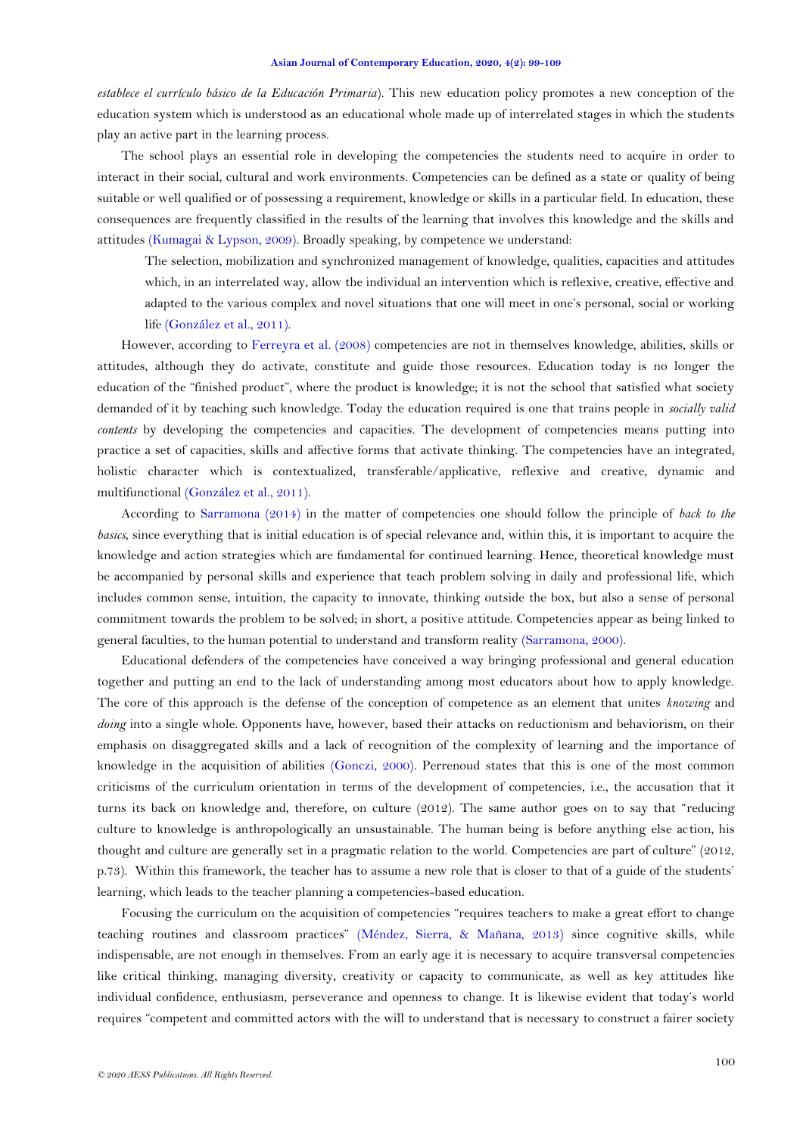*establece el currículo básico de la Educación Primaria*). This new education policy promotes a new conception of the education system which is understood as an educational whole made up of interrelated stages in which the students play an active part in the learning process.

The school plays an essential role in developing the competencies the students need to acquire in order to interact in their social, cultural and work environments. Competencies can be defined as a state or quality of being suitable or well qualified or of possessing a requirement, knowledge or skills in a particular field. In education, these consequences are frequently classified in the results of the learning that involves this knowledge and the skills and attitudes [\(Kumagai & Lypson, 2009\)](#page-9-0). Broadly speaking, by competence we understand:

The selection, mobilization and synchronized management of knowledge, qualities, capacities and attitudes which, in an interrelated way, allow the individual an intervention which is reflexive, creative, effective and adapted to the various complex and novel situations that one will meet in one's personal, social or working life [\(González et al., 2011\)](#page-9-1).

However, according to [Ferreyra et al. \(2008\)](#page-9-2) competencies are not in themselves knowledge, abilities, skills or attitudes, although they do activate, constitute and guide those resources. Education today is no longer the education of the "finished product", where the product is knowledge; it is not the school that satisfied what society demanded of it by teaching such knowledge. Today the education required is one that trains people in *socially valid contents* by developing the competencies and capacities. The development of competencies means putting into practice a set of capacities, skills and affective forms that activate thinking. The competencies have an integrated, holistic character which is contextualized, transferable/applicative, reflexive and creative, dynamic and multifunctional [\(González et al., 2011\)](#page-9-1).

According to [Sarramona \(2014\)](#page-9-3) in the matter of competencies one should follow the principle of *back to the basics*, since everything that is initial education is of special relevance and, within this, it is important to acquire the knowledge and action strategies which are fundamental for continued learning. Hence, theoretical knowledge must be accompanied by personal skills and experience that teach problem solving in daily and professional life, which includes common sense, intuition, the capacity to innovate, thinking outside the box, but also a sense of personal commitment towards the problem to be solved; in short, a positive attitude. Competencies appear as being linked to general faculties, to the human potential to understand and transform reality [\(Sarramona, 2000\)](#page-9-3).

Educational defenders of the competencies have conceived a way bringing professional and general education together and putting an end to the lack of understanding among most educators about how to apply knowledge. The core of this approach is the defense of the conception of competence as an element that unites *knowing* and *doing* into a single whole. Opponents have, however, based their attacks on reductionism and behaviorism, on their emphasis on disaggregated skills and a lack of recognition of the complexity of learning and the importance of knowledge in the acquisition of abilities [\(Gonczi, 2000\)](#page-9-4). Perrenoud states that this is one of the most common criticisms of the curriculum orientation in terms of the development of competencies, i.e., the accusation that it turns its back on knowledge and, therefore, on culture (2012). The same author goes on to say that "reducing culture to knowledge is anthropologically an unsustainable. The human being is before anything else action, his thought and culture are generally set in a pragmatic relation to the world. Competencies are part of culture" (2012, p.73). Within this framework, the teacher has to assume a new role that is closer to that of a guide of the students' learning, which leads to the teacher planning a competencies-based education.

Focusing the curriculum on the acquisition of competencies "requires teachers to make a great effort to change teaching routines and classroom practices" [\(Méndez, Sierra, & Mañana, 2013\)](#page-9-5) since cognitive skills, while indispensable, are not enough in themselves. From an early age it is necessary to acquire transversal competencies like critical thinking, managing diversity, creativity or capacity to communicate, as well as key attitudes like individual confidence, enthusiasm, perseverance and openness to change. It is likewise evident that today's world requires "competent and committed actors with the will to understand that is necessary to construct a fairer society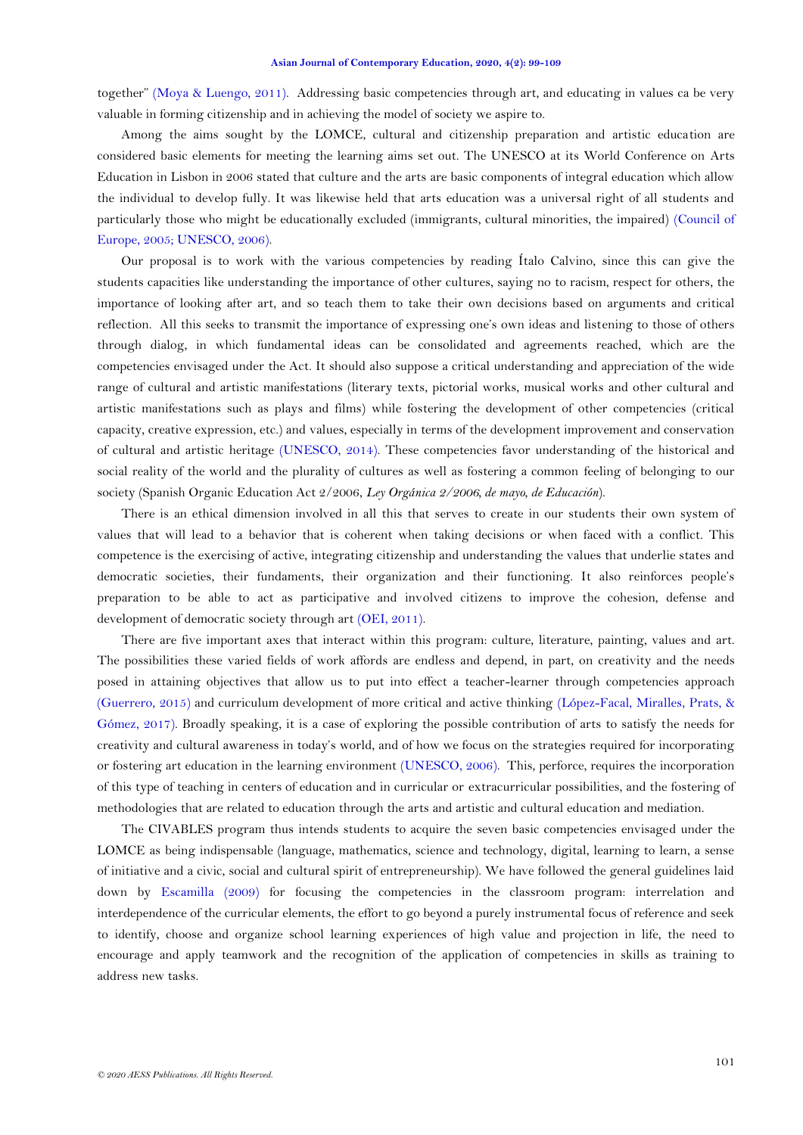together" [\(Moya & Luengo, 2011\)](#page-9-6). Addressing basic competencies through art, and educating in values ca be very valuable in forming citizenship and in achieving the model of society we aspire to.

Among the aims sought by the LOMCE, cultural and citizenship preparation and artistic education are considered basic elements for meeting the learning aims set out. The UNESCO at its World Conference on Arts Education in Lisbon in 2006 stated that culture and the arts are basic components of integral education which allow the individual to develop fully. It was likewise held that arts education was a universal right of all students and particularly those who might be educationally excluded (immigrants, cultural minorities, the impaired) [\(Council of](#page-9-7)  [Europe, 2005;](#page-9-7) [UNESCO, 2006\)](#page-9-3).

Our proposal is to work with the various competencies by reading Ítalo Calvino, since this can give the students capacities like understanding the importance of other cultures, saying no to racism, respect for others, the importance of looking after art, and so teach them to take their own decisions based on arguments and critical reflection. All this seeks to transmit the importance of expressing one's own ideas and listening to those of others through dialog, in which fundamental ideas can be consolidated and agreements reached, which are the competencies envisaged under the Act. It should also suppose a critical understanding and appreciation of the wide range of cultural and artistic manifestations (literary texts, pictorial works, musical works and other cultural and artistic manifestations such as plays and films) while fostering the development of other competencies (critical capacity, creative expression, etc.) and values, especially in terms of the development improvement and conservation of cultural and artistic heritage [\(UNESCO, 2014\)](#page-9-3). These competencies favor understanding of the historical and social reality of the world and the plurality of cultures as well as fostering a common feeling of belonging to our society (Spanish Organic Education Act 2/2006, *Ley Orgánica 2/2006, de mayo, de Educación*).

There is an ethical dimension involved in all this that serves to create in our students their own system of values that will lead to a behavior that is coherent when taking decisions or when faced with a conflict. This competence is the exercising of active, integrating citizenship and understanding the values that underlie states and democratic societies, their fundaments, their organization and their functioning. It also reinforces people's preparation to be able to act as participative and involved citizens to improve the cohesion, defense and development of democratic society through art [\(OEI, 2011\)](#page-9-3).

There are five important axes that interact within this program: culture, literature, painting, values and art. The possibilities these varied fields of work affords are endless and depend, in part, on creativity and the needs posed in attaining objectives that allow us to put into effect a teacher-learner through competencies approach [\(Guerrero, 2015\)](#page-9-8) and curriculum development of more critical and active thinking [\(López-Facal, Miralles, Prats, &](#page-9-9)  [Gómez, 2017\)](#page-9-9). Broadly speaking, it is a case of exploring the possible contribution of arts to satisfy the needs for creativity and cultural awareness in today's world, and of how we focus on the strategies required for incorporating or fostering art education in the learning environment [\(UNESCO, 2006\)](#page-9-3). This, perforce, requires the incorporation of this type of teaching in centers of education and in curricular or extracurricular possibilities, and the fostering of methodologies that are related to education through the arts and artistic and cultural education and mediation.

The CIVABLES program thus intends students to acquire the seven basic competencies envisaged under the LOMCE as being indispensable (language, mathematics, science and technology, digital, learning to learn, a sense of initiative and a civic, social and cultural spirit of entrepreneurship). We have followed the general guidelines laid down by [Escamilla \(2009\)](#page-9-10) for focusing the competencies in the classroom program: interrelation and interdependence of the curricular elements, the effort to go beyond a purely instrumental focus of reference and seek to identify, choose and organize school learning experiences of high value and projection in life, the need to encourage and apply teamwork and the recognition of the application of competencies in skills as training to address new tasks.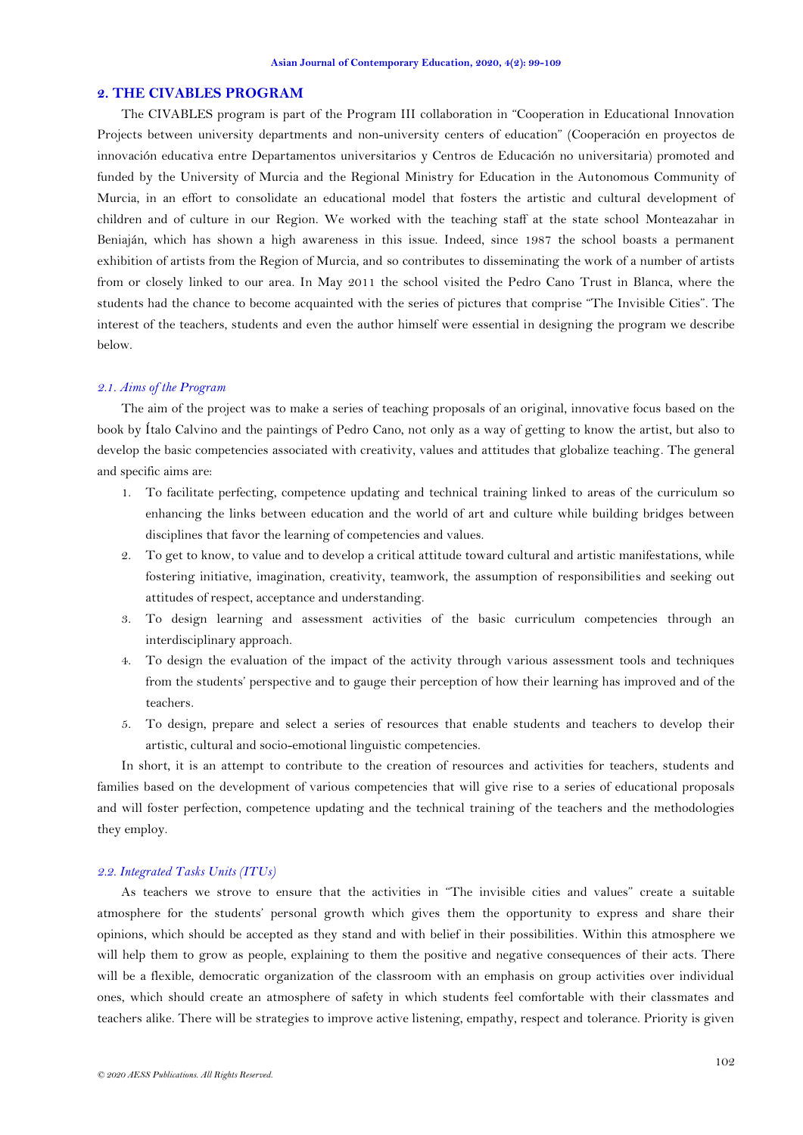## **2. THE CIVABLES PROGRAM**

The CIVABLES program is part of the Program III collaboration in "Cooperation in Educational Innovation Projects between university departments and non-university centers of education" (Cooperación en proyectos de innovación educativa entre Departamentos universitarios y Centros de Educación no universitaria) promoted and funded by the University of Murcia and the Regional Ministry for Education in the Autonomous Community of Murcia, in an effort to consolidate an educational model that fosters the artistic and cultural development of children and of culture in our Region. We worked with the teaching staff at the state school Monteazahar in Beniaján, which has shown a high awareness in this issue. Indeed, since 1987 the school boasts a permanent exhibition of artists from the Region of Murcia, and so contributes to disseminating the work of a number of artists from or closely linked to our area. In May 2011 the school visited the Pedro Cano Trust in Blanca, where the students had the chance to become acquainted with the series of pictures that comprise "The Invisible Cities". The interest of the teachers, students and even the author himself were essential in designing the program we describe below.

## *2.1. Aims of the Program*

The aim of the project was to make a series of teaching proposals of an original, innovative focus based on the book by Ítalo Calvino and the paintings of Pedro Cano, not only as a way of getting to know the artist, but also to develop the basic competencies associated with creativity, values and attitudes that globalize teaching. The general and specific aims are:

- 1. To facilitate perfecting, competence updating and technical training linked to areas of the curriculum so enhancing the links between education and the world of art and culture while building bridges between disciplines that favor the learning of competencies and values.
- 2. To get to know, to value and to develop a critical attitude toward cultural and artistic manifestations, while fostering initiative, imagination, creativity, teamwork, the assumption of responsibilities and seeking out attitudes of respect, acceptance and understanding.
- 3. To design learning and assessment activities of the basic curriculum competencies through an interdisciplinary approach.
- 4. To design the evaluation of the impact of the activity through various assessment tools and techniques from the students' perspective and to gauge their perception of how their learning has improved and of the teachers.
- 5. To design, prepare and select a series of resources that enable students and teachers to develop their artistic, cultural and socio-emotional linguistic competencies.

In short, it is an attempt to contribute to the creation of resources and activities for teachers, students and families based on the development of various competencies that will give rise to a series of educational proposals and will foster perfection, competence updating and the technical training of the teachers and the methodologies they employ.

## *2.2. Integrated Tasks Units (ITUs)*

As teachers we strove to ensure that the activities in "The invisible cities and values" create a suitable atmosphere for the students' personal growth which gives them the opportunity to express and share their opinions, which should be accepted as they stand and with belief in their possibilities. Within this atmosphere we will help them to grow as people, explaining to them the positive and negative consequences of their acts. There will be a flexible, democratic organization of the classroom with an emphasis on group activities over individual ones, which should create an atmosphere of safety in which students feel comfortable with their classmates and teachers alike. There will be strategies to improve active listening, empathy, respect and tolerance. Priority is given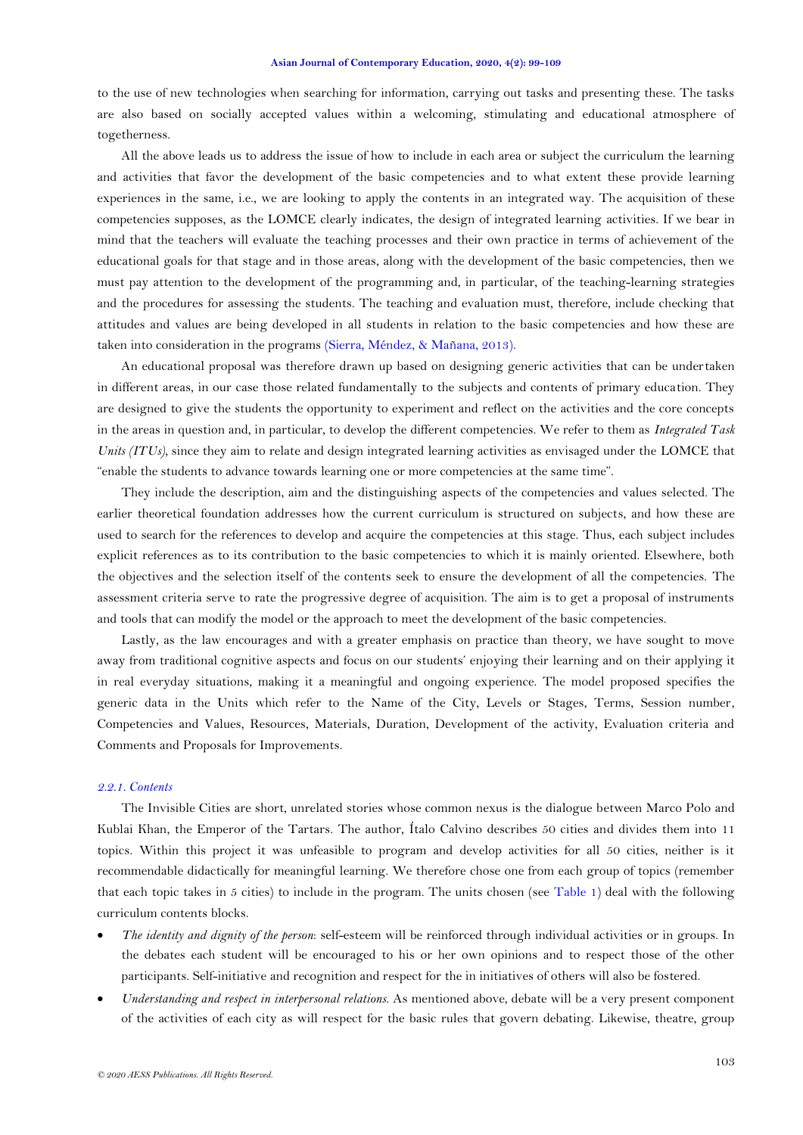to the use of new technologies when searching for information, carrying out tasks and presenting these. The tasks are also based on socially accepted values within a welcoming, stimulating and educational atmosphere of togetherness.

All the above leads us to address the issue of how to include in each area or subject the curriculum the learning and activities that favor the development of the basic competencies and to what extent these provide learning experiences in the same, i.e., we are looking to apply the contents in an integrated way. The acquisition of these competencies supposes, as the LOMCE clearly indicates, the design of integrated learning activities. If we bear in mind that the teachers will evaluate the teaching processes and their own practice in terms of achievement of the educational goals for that stage and in those areas, along with the development of the basic competencies, then we must pay attention to the development of the programming and, in particular, of the teaching-learning strategies and the procedures for assessing the students. The teaching and evaluation must, therefore, include checking that attitudes and values are being developed in all students in relation to the basic competencies and how these are taken into consideration in the programs [\(Sierra, Méndez, & Mañana, 2013\)](#page-9-3).

An educational proposal was therefore drawn up based on designing generic activities that can be undertaken in different areas, in our case those related fundamentally to the subjects and contents of primary education. They are designed to give the students the opportunity to experiment and reflect on the activities and the core concepts in the areas in question and, in particular, to develop the different competencies. We refer to them as *Integrated Task Units (ITUs),* since they aim to relate and design integrated learning activities as envisaged under the LOMCE that "enable the students to advance towards learning one or more competencies at the same time".

They include the description, aim and the distinguishing aspects of the competencies and values selected. The earlier theoretical foundation addresses how the current curriculum is structured on subjects, and how these are used to search for the references to develop and acquire the competencies at this stage. Thus, each subject includes explicit references as to its contribution to the basic competencies to which it is mainly oriented. Elsewhere, both the objectives and the selection itself of the contents seek to ensure the development of all the competencies. The assessment criteria serve to rate the progressive degree of acquisition. The aim is to get a proposal of instruments and tools that can modify the model or the approach to meet the development of the basic competencies.

Lastly, as the law encourages and with a greater emphasis on practice than theory, we have sought to move away from traditional cognitive aspects and focus on our students' enjoying their learning and on their applying it in real everyday situations, making it a meaningful and ongoing experience. The model proposed specifies the generic data in the Units which refer to the Name of the City, Levels or Stages, Terms, Session number, Competencies and Values, Resources, Materials, Duration, Development of the activity, Evaluation criteria and Comments and Proposals for Improvements.

### *2.2.1. Contents*

The Invisible Cities are short, unrelated stories whose common nexus is the dialogue between Marco Polo and Kublai Khan, the Emperor of the Tartars. The author, Ítalo Calvino describes 50 cities and divides them into 11 topics. Within this project it was unfeasible to program and develop activities for all 50 cities, neither is it recommendable didactically for meaningful learning. We therefore chose one from each group of topics (remember that each topic takes in 5 cities) to include in the program. The units chosen (see [Table 1\)](#page-6-0) deal with the following curriculum contents blocks.

- *The identity and dignity of the person*: self-esteem will be reinforced through individual activities or in groups. In the debates each student will be encouraged to his or her own opinions and to respect those of the other participants. Self-initiative and recognition and respect for the in initiatives of others will also be fostered.
- *Understanding and respect in interpersonal relations*. As mentioned above, debate will be a very present component of the activities of each city as will respect for the basic rules that govern debating. Likewise, theatre, group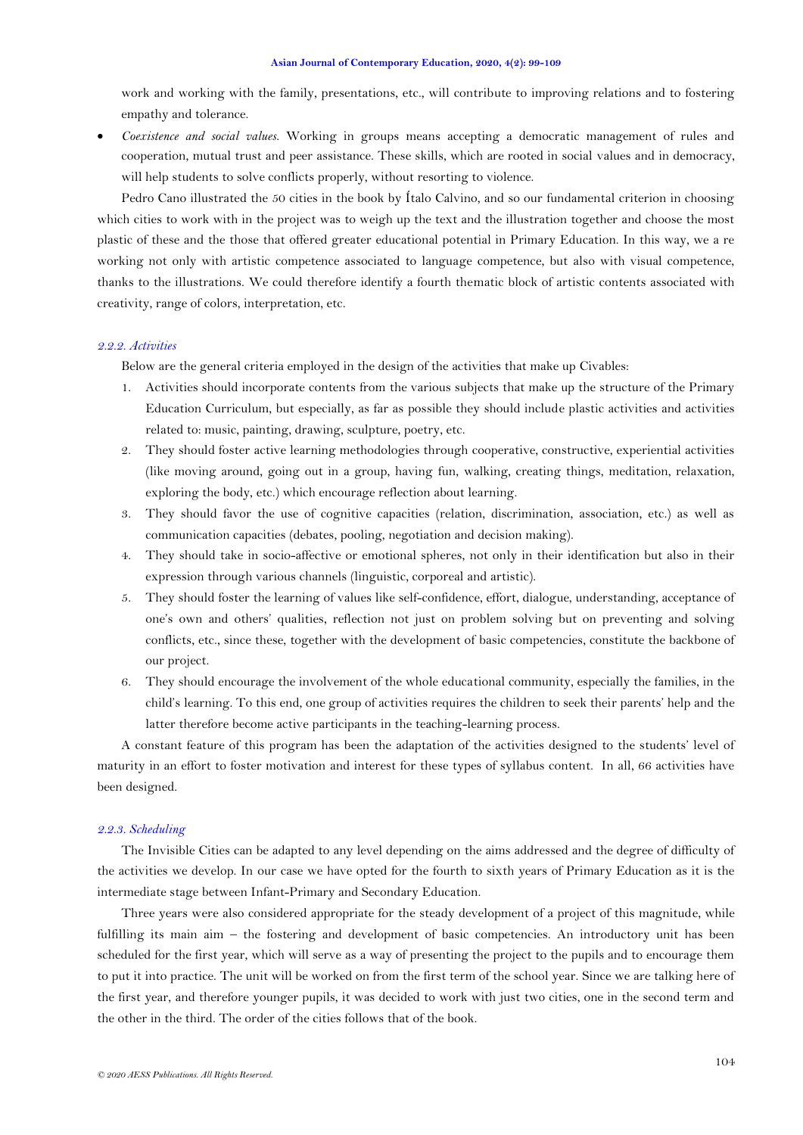work and working with the family, presentations, etc., will contribute to improving relations and to fostering empathy and tolerance.

• *Coexistence and social values*. Working in groups means accepting a democratic management of rules and cooperation, mutual trust and peer assistance. These skills, which are rooted in social values and in democracy, will help students to solve conflicts properly, without resorting to violence.

Pedro Cano illustrated the 50 cities in the book by Ítalo Calvino, and so our fundamental criterion in choosing which cities to work with in the project was to weigh up the text and the illustration together and choose the most plastic of these and the those that offered greater educational potential in Primary Education. In this way, we a re working not only with artistic competence associated to language competence, but also with visual competence, thanks to the illustrations. We could therefore identify a fourth thematic block of artistic contents associated with creativity, range of colors, interpretation, etc.

# *2.2.2. Activities*

Below are the general criteria employed in the design of the activities that make up Civables:

- 1. Activities should incorporate contents from the various subjects that make up the structure of the Primary Education Curriculum, but especially, as far as possible they should include plastic activities and activities related to: music, painting, drawing, sculpture, poetry, etc.
- 2. They should foster active learning methodologies through cooperative, constructive, experiential activities (like moving around, going out in a group, having fun, walking, creating things, meditation, relaxation, exploring the body, etc.) which encourage reflection about learning.
- 3. They should favor the use of cognitive capacities (relation, discrimination, association, etc.) as well as communication capacities (debates, pooling, negotiation and decision making).
- 4. They should take in socio-affective or emotional spheres, not only in their identification but also in their expression through various channels (linguistic, corporeal and artistic).
- 5. They should foster the learning of values like self-confidence, effort, dialogue, understanding, acceptance of one's own and others' qualities, reflection not just on problem solving but on preventing and solving conflicts, etc., since these, together with the development of basic competencies, constitute the backbone of our project.
- 6. They should encourage the involvement of the whole educational community, especially the families, in the child's learning. To this end, one group of activities requires the children to seek their parents' help and the latter therefore become active participants in the teaching-learning process.

A constant feature of this program has been the adaptation of the activities designed to the students' level of maturity in an effort to foster motivation and interest for these types of syllabus content. In all, 66 activities have been designed.

#### *2.2.3. Scheduling*

The Invisible Cities can be adapted to any level depending on the aims addressed and the degree of difficulty of the activities we develop. In our case we have opted for the fourth to sixth years of Primary Education as it is the intermediate stage between Infant-Primary and Secondary Education.

Three years were also considered appropriate for the steady development of a project of this magnitude, while fulfilling its main aim – the fostering and development of basic competencies. An introductory unit has been scheduled for the first year, which will serve as a way of presenting the project to the pupils and to encourage them to put it into practice. The unit will be worked on from the first term of the school year. Since we are talking here of the first year, and therefore younger pupils, it was decided to work with just two cities, one in the second term and the other in the third. The order of the cities follows that of the book.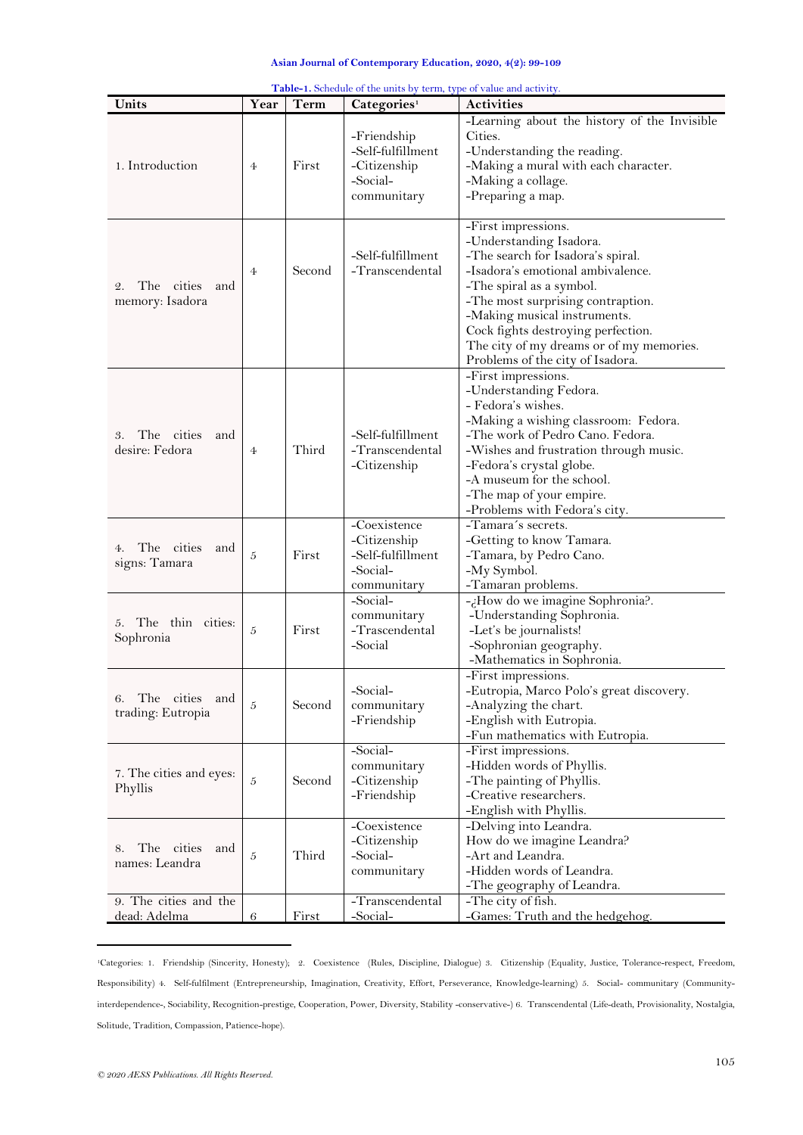<span id="page-6-0"></span>

| -Learning about the history of the Invisible<br>Cities.<br>-Friendship<br>-Self-fulfillment<br>-Understanding the reading.<br>1. Introduction<br>First<br>-Citizenship<br>-Making a mural with each character.<br>$\overline{4}$<br>-Social-<br>-Making a collage.<br>-Preparing a map.<br>communitary<br>-First impressions.<br>-Understanding Isadora.<br>-Self-fulfillment<br>-The search for Isadora's spiral.<br>-Transcendental<br>-Isadora's emotional ambivalence.<br>Second<br>$\overline{4}$<br>-The spiral as a symbol.<br>The cities<br>and<br>2.<br>memory: Isadora<br>-The most surprising contraption.<br>-Making musical instruments.<br>Cock fights destroying perfection.<br>The city of my dreams or of my memories.<br>Problems of the city of Isadora.<br>-First impressions.<br>-Understanding Fedora.<br>- Fedora's wishes.<br>-Making a wishing classroom: Fedora.<br>-Self-fulfillment<br>The cities<br>-The work of Pedro Cano. Fedora.<br>3.<br>and |
|--------------------------------------------------------------------------------------------------------------------------------------------------------------------------------------------------------------------------------------------------------------------------------------------------------------------------------------------------------------------------------------------------------------------------------------------------------------------------------------------------------------------------------------------------------------------------------------------------------------------------------------------------------------------------------------------------------------------------------------------------------------------------------------------------------------------------------------------------------------------------------------------------------------------------------------------------------------------------------|
|                                                                                                                                                                                                                                                                                                                                                                                                                                                                                                                                                                                                                                                                                                                                                                                                                                                                                                                                                                                |
|                                                                                                                                                                                                                                                                                                                                                                                                                                                                                                                                                                                                                                                                                                                                                                                                                                                                                                                                                                                |
| Third<br>desire: Fedora<br>-Transcendental<br>-Wishes and frustration through music.<br>$\overline{4}$<br>-Citizenship<br>-Fedora's crystal globe.<br>-A museum for the school.<br>-The map of your empire.<br>-Problems with Fedora's city.                                                                                                                                                                                                                                                                                                                                                                                                                                                                                                                                                                                                                                                                                                                                   |
| -Coexistence<br>-Tamara's secrets.<br>-Citizenship<br>-Getting to know Tamara.<br>The cities<br>and<br>4.<br>First<br>-Self-fulfillment<br>$\overline{5}$<br>-Tamara, by Pedro Cano.<br>signs: Tamara<br>-Social-<br>-My Symbol.<br>-Tamaran problems.<br>communitary                                                                                                                                                                                                                                                                                                                                                                                                                                                                                                                                                                                                                                                                                                          |
| -Social-<br>-¿How do we imagine Sophronia?.<br>communitary<br>-Understanding Sophronia.<br>5. The thin cities:<br>5<br>First<br>-Trascendental<br>-Let's be journalists!<br>Sophronia<br>-Social<br>-Sophronian geography.<br>-Mathematics in Sophronia.                                                                                                                                                                                                                                                                                                                                                                                                                                                                                                                                                                                                                                                                                                                       |
| -First impressions.<br>-Social-<br>-Eutropia, Marco Polo's great discovery.<br>6. The cities and<br>$\overline{5}$<br>Second<br>-Analyzing the chart.<br>communitary<br>trading: Eutropia<br>-English with Eutropia.<br>-Friendship<br>-Fun mathematics with Eutropia.                                                                                                                                                                                                                                                                                                                                                                                                                                                                                                                                                                                                                                                                                                         |
| -Social-<br>-First impressions.<br>communitary<br>-Hidden words of Phyllis.<br>7. The cities and eyes:<br>$\overline{5}$<br>Second<br>-Citizenship<br>-The painting of Phyllis.<br>Phyllis<br>-Friendship<br>-Creative researchers.<br>-English with Phyllis.                                                                                                                                                                                                                                                                                                                                                                                                                                                                                                                                                                                                                                                                                                                  |
| -Coexistence<br>-Delving into Leandra.<br>-Citizenship<br>How do we imagine Leandra?<br>The cities<br>and<br>8.<br>Third<br>-Social-<br>-Art and Leandra.<br>5<br>names: Leandra<br>communitary<br>-Hidden words of Leandra.<br>-The geography of Leandra.                                                                                                                                                                                                                                                                                                                                                                                                                                                                                                                                                                                                                                                                                                                     |
| 9. The cities and the<br>-Transcendental<br>-The city of fish.<br>-Social-<br>dead: Adelma<br>First<br>-Games: Truth and the hedgehog.<br>6                                                                                                                                                                                                                                                                                                                                                                                                                                                                                                                                                                                                                                                                                                                                                                                                                                    |

**Table-1.** Schedule of the units by term, type of value and activity.

<sup>1</sup>Categories: 1. Friendship (Sincerity, Honesty); 2. Coexistence (Rules, Discipline, Dialogue) 3. Citizenship (Equality, Justice, Tolerance-respect, Freedom, Responsibility) 4. Self-fulfilment (Entrepreneurship, Imagination, Creativity, Effort, Perseverance, Knowledge-learning) 5. Social- communitary (Communityinterdependence-, Sociability, Recognition-prestige, Cooperation, Power, Diversity, Stability -conservative-) 6. Transcendental (Life-death, Provisionality, Nostalgia, Solitude, Tradition, Compassion, Patience-hope).

**.**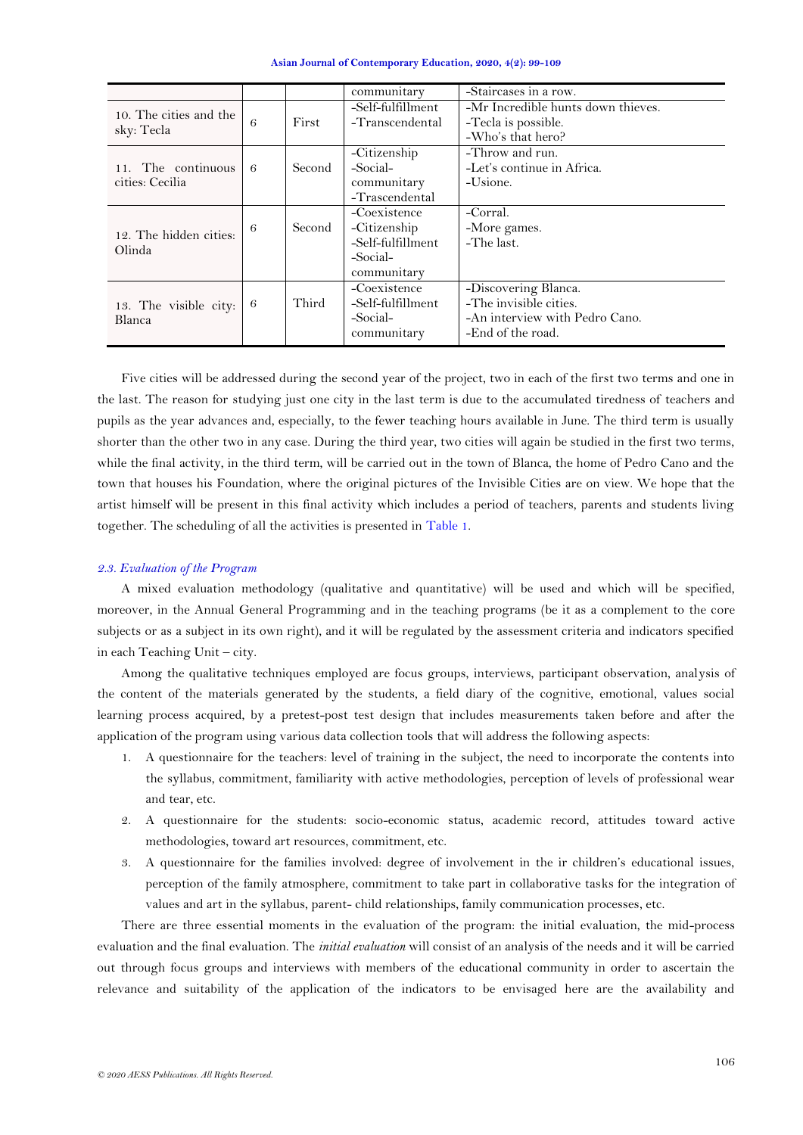|  | Asian Journal of Contemporary Education, 2020, 4(2): 99-109 |  |
|--|-------------------------------------------------------------|--|
|--|-------------------------------------------------------------|--|

|                                       |   |        | communitary                                                                  | -Staircases in a row.                                                                                 |
|---------------------------------------|---|--------|------------------------------------------------------------------------------|-------------------------------------------------------------------------------------------------------|
| 10. The cities and the<br>sky: Tecla  | 6 | First  | -Self-fulfillment<br>-Transcendental                                         | -Mr Incredible hunts down thieves.<br>-Tecla is possible.<br>-Who's that hero?                        |
| 11. The continuous<br>cities: Cecilia | 6 | Second | -Citizenship<br>-Social-<br>communitary<br>-Trascendental                    | -Throw and run.<br>-Let's continue in Africa.<br>-Usione.                                             |
| 12. The hidden cities:<br>Olinda      | 6 | Second | -Coexistence<br>-Citizenship<br>-Self-fulfillment<br>-Social-<br>communitary | -Corral.<br>-More games.<br>-The last.                                                                |
| 13. The visible city:<br>Blanca       | 6 | Third  | -Coexistence<br>-Self-fulfillment<br>-Social-<br>communitary                 | -Discovering Blanca.<br>-The invisible cities.<br>-An interview with Pedro Cano.<br>-End of the road. |

Five cities will be addressed during the second year of the project, two in each of the first two terms and one in the last. The reason for studying just one city in the last term is due to the accumulated tiredness of teachers and pupils as the year advances and, especially, to the fewer teaching hours available in June. The third term is usually shorter than the other two in any case. During the third year, two cities will again be studied in the first two terms, while the final activity, in the third term, will be carried out in the town of Blanca, the home of Pedro Cano and the town that houses his Foundation, where the original pictures of the Invisible Cities are on view. We hope that the artist himself will be present in this final activity which includes a period of teachers, parents and students living together. The scheduling of all the activities is presented in [Table 1.](#page-6-0)

## *2.3. Evaluation of the Program*

A mixed evaluation methodology (qualitative and quantitative) will be used and which will be specified, moreover, in the Annual General Programming and in the teaching programs (be it as a complement to the core subjects or as a subject in its own right), and it will be regulated by the assessment criteria and indicators specified in each Teaching Unit – city.

Among the qualitative techniques employed are focus groups, interviews, participant observation, analysis of the content of the materials generated by the students, a field diary of the cognitive, emotional, values social learning process acquired, by a pretest-post test design that includes measurements taken before and after the application of the program using various data collection tools that will address the following aspects:

- 1. A questionnaire for the teachers: level of training in the subject, the need to incorporate the contents into the syllabus, commitment, familiarity with active methodologies, perception of levels of professional wear and tear, etc.
- 2. A questionnaire for the students: socio-economic status, academic record, attitudes toward active methodologies, toward art resources, commitment, etc.
- 3. A questionnaire for the families involved: degree of involvement in the ir children's educational issues, perception of the family atmosphere, commitment to take part in collaborative tasks for the integration of values and art in the syllabus, parent- child relationships, family communication processes, etc.

There are three essential moments in the evaluation of the program: the initial evaluation, the mid-process evaluation and the final evaluation. The *initial evaluation* will consist of an analysis of the needs and it will be carried out through focus groups and interviews with members of the educational community in order to ascertain the relevance and suitability of the application of the indicators to be envisaged here are the availability and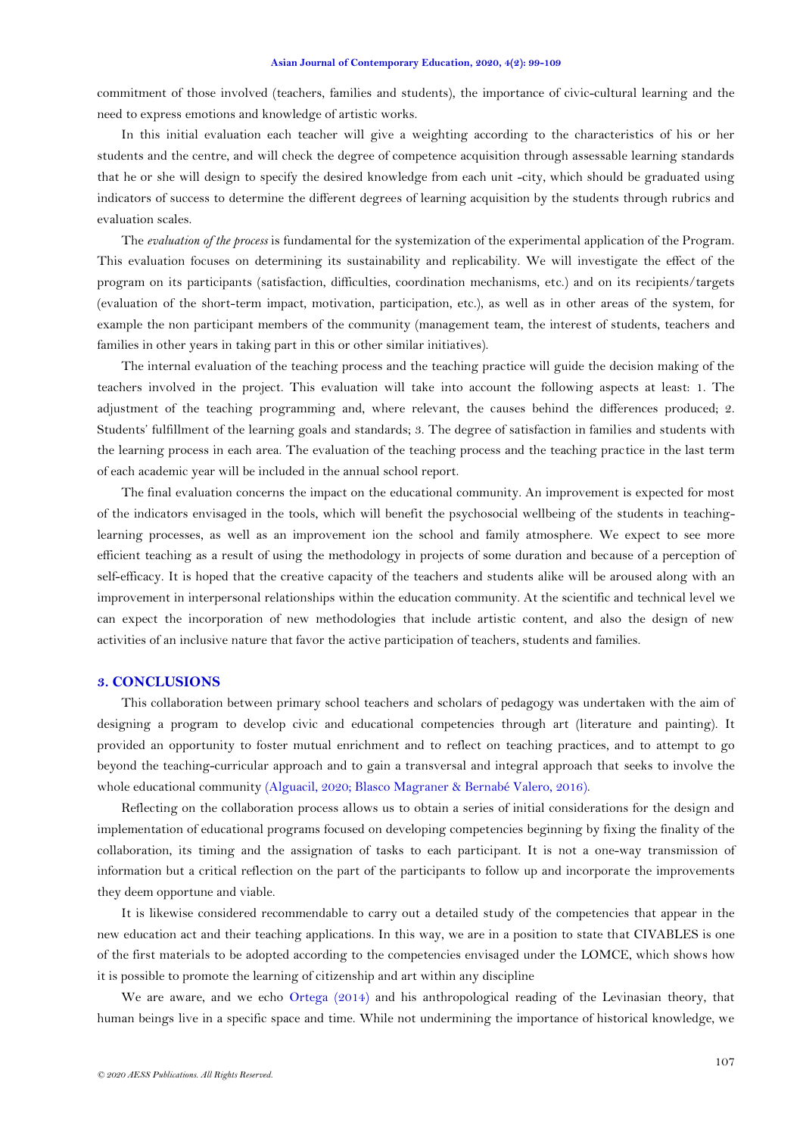#### **Asian Journal of Contemporary Education, 2020, 4(2): 99-109**

commitment of those involved (teachers, families and students), the importance of civic-cultural learning and the need to express emotions and knowledge of artistic works.

In this initial evaluation each teacher will give a weighting according to the characteristics of his or her students and the centre, and will check the degree of competence acquisition through assessable learning standards that he or she will design to specify the desired knowledge from each unit -city, which should be graduated using indicators of success to determine the different degrees of learning acquisition by the students through rubrics and evaluation scales.

The *evaluation of the process* is fundamental for the systemization of the experimental application of the Program. This evaluation focuses on determining its sustainability and replicability. We will investigate the effect of the program on its participants (satisfaction, difficulties, coordination mechanisms, etc.) and on its recipients/targets (evaluation of the short-term impact, motivation, participation, etc.), as well as in other areas of the system, for example the non participant members of the community (management team, the interest of students, teachers and families in other years in taking part in this or other similar initiatives).

The internal evaluation of the teaching process and the teaching practice will guide the decision making of the teachers involved in the project. This evaluation will take into account the following aspects at least: 1. The adjustment of the teaching programming and, where relevant, the causes behind the differences produced; 2. Students' fulfillment of the learning goals and standards; 3. The degree of satisfaction in families and students with the learning process in each area. The evaluation of the teaching process and the teaching practice in the last term of each academic year will be included in the annual school report.

The final evaluation concerns the impact on the educational community. An improvement is expected for most of the indicators envisaged in the tools, which will benefit the psychosocial wellbeing of the students in teachinglearning processes, as well as an improvement ion the school and family atmosphere. We expect to see more efficient teaching as a result of using the methodology in projects of some duration and because of a perception of self-efficacy. It is hoped that the creative capacity of the teachers and students alike will be aroused along with an improvement in interpersonal relationships within the education community. At the scientific and technical level we can expect the incorporation of new methodologies that include artistic content, and also the design of new activities of an inclusive nature that favor the active participation of teachers, students and families.

## **3. CONCLUSIONS**

This collaboration between primary school teachers and scholars of pedagogy was undertaken with the aim of designing a program to develop civic and educational competencies through art (literature and painting). It provided an opportunity to foster mutual enrichment and to reflect on teaching practices, and to attempt to go beyond the teaching-curricular approach and to gain a transversal and integral approach that seeks to involve the whole educational community [\(Alguacil, 2020;](#page-9-11) [Blasco Magraner & Bernabé Valero, 2016\)](#page-9-12).

Reflecting on the collaboration process allows us to obtain a series of initial considerations for the design and implementation of educational programs focused on developing competencies beginning by fixing the finality of the collaboration, its timing and the assignation of tasks to each participant. It is not a one-way transmission of information but a critical reflection on the part of the participants to follow up and incorporate the improvements they deem opportune and viable.

It is likewise considered recommendable to carry out a detailed study of the competencies that appear in the new education act and their teaching applications. In this way, we are in a position to state that CIVABLES is one of the first materials to be adopted according to the competencies envisaged under the LOMCE, which shows how it is possible to promote the learning of citizenship and art within any discipline

We are aware, and we echo [Ortega \(2014\)](#page-9-3) and his anthropological reading of the Levinasian theory, that human beings live in a specific space and time. While not undermining the importance of historical knowledge, we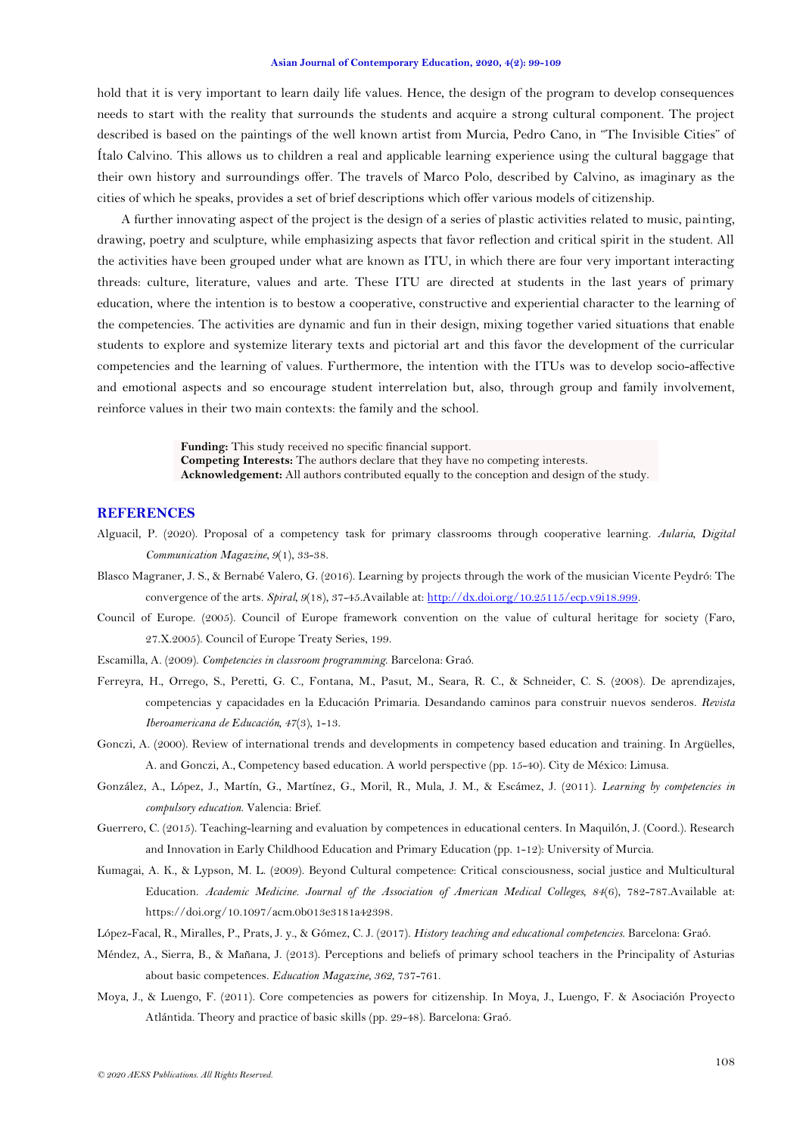#### **Asian Journal of Contemporary Education, 2020, 4(2): 99-109**

<span id="page-9-3"></span>hold that it is very important to learn daily life values. Hence, the design of the program to develop consequences needs to start with the reality that surrounds the students and acquire a strong cultural component. The project described is based on the paintings of the well known artist from Murcia, Pedro Cano, in "The Invisible Cities" of Ítalo Calvino. This allows us to children a real and applicable learning experience using the cultural baggage that their own history and surroundings offer. The travels of Marco Polo, described by Calvino, as imaginary as the cities of which he speaks, provides a set of brief descriptions which offer various models of citizenship.

A further innovating aspect of the project is the design of a series of plastic activities related to music, painting, drawing, poetry and sculpture, while emphasizing aspects that favor reflection and critical spirit in the student. All the activities have been grouped under what are known as ITU, in which there are four very important interacting threads: culture, literature, values and arte. These ITU are directed at students in the last years of primary education, where the intention is to bestow a cooperative, constructive and experiential character to the learning of the competencies. The activities are dynamic and fun in their design, mixing together varied situations that enable students to explore and systemize literary texts and pictorial art and this favor the development of the curricular competencies and the learning of values. Furthermore, the intention with the ITUs was to develop socio-affective and emotional aspects and so encourage student interrelation but, also, through group and family involvement, reinforce values in their two main contexts: the family and the school.

> **Funding:** This study received no specific financial support. **Competing Interests:** The authors declare that they have no competing interests. **Acknowledgement:** All authors contributed equally to the conception and design of the study.

## **REFERENCES**

- <span id="page-9-11"></span>Alguacil, P. (2020). Proposal of a competency task for primary classrooms through cooperative learning. *Aularia, Digital Communication Magazine, 9*(1), 33-38.
- <span id="page-9-12"></span>Blasco Magraner, J. S., & Bernabé Valero, G. (2016). Learning by projects through the work of the musician Vicente Peydró: The convergence of the arts. *Spiral, 9*(18), 37-45.Available at[: http://dx.doi.org/10.25115/ecp.v9i18.999.](http://dx.doi.org/10.25115/ecp.v9i18.999)
- <span id="page-9-7"></span>Council of Europe. (2005). Council of Europe framework convention on the value of cultural heritage for society (Faro, 27.X.2005). Council of Europe Treaty Series, 199.
- <span id="page-9-10"></span>Escamilla, A. (2009). *Competencies in classroom programming*. Barcelona: Graó.
- <span id="page-9-2"></span>Ferreyra, H., Orrego, S., Peretti, G. C., Fontana, M., Pasut, M., Seara, R. C., & Schneider, C. S. (2008). De aprendizajes, competencias y capacidades en la Educación Primaria. Desandando caminos para construir nuevos senderos. *Revista Iberoamericana de Educación, 47*(3), 1-13.
- <span id="page-9-4"></span>Gonczi, A. (2000). Review of international trends and developments in competency based education and training. In Argüelles, A. and Gonczi, A., Competency based education. A world perspective (pp. 15-40). City de México: Limusa.
- <span id="page-9-1"></span>González, A., López, J., Martín, G., Martínez, G., Moril, R., Mula, J. M., & Escámez, J. (2011). *Learning by competencies in compulsory education*. Valencia: Brief.
- <span id="page-9-8"></span>Guerrero, C. (2015). Teaching-learning and evaluation by competences in educational centers. In Maquilón, J. (Coord.). Research and Innovation in Early Childhood Education and Primary Education (pp. 1-12): University of Murcia.
- <span id="page-9-0"></span>Kumagai, A. K., & Lypson, M. L. (2009). Beyond Cultural competence: Critical consciousness, social justice and Multicultural Education. *Academic Medicine. Journal of the Association of American Medical Colleges, 84*(6), 782-787.Available at: https://doi.org/10.1097/acm.0b013e3181a42398.
- <span id="page-9-9"></span>López-Facal, R., Miralles, P., Prats, J. y., & Gómez, C. J. (2017). *History teaching and educational competencies*. Barcelona: Graó.
- <span id="page-9-5"></span>Méndez, A., Sierra, B., & Mañana, J. (2013). Perceptions and beliefs of primary school teachers in the Principality of Asturias about basic competences. *Education Magazine, 362*, 737-761.
- <span id="page-9-6"></span>Moya, J., & Luengo, F. (2011). Core competencies as powers for citizenship. In Moya, J., Luengo, F. & Asociación Proyecto Atlántida. Theory and practice of basic skills (pp. 29-48). Barcelona: Graó.